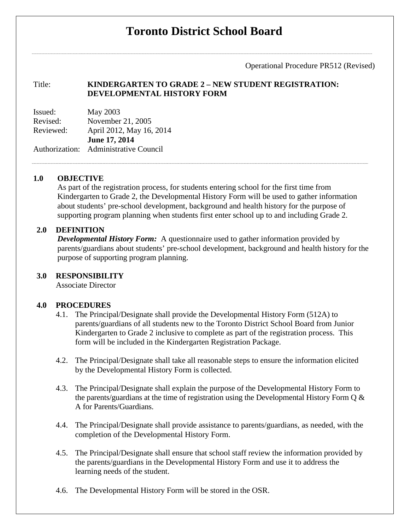# **Toronto District School Board**

Operational Procedure PR512 (Revised)

# Title: **KINDERGARTEN TO GRADE 2 – NEW STUDENT REGISTRATION: DEVELOPMENTAL HISTORY FORM**

Issued: May 2003 Revised: November 21, 2005 Reviewed: April 2012, May 16, 2014 **June 17, 2014**  Authorization: Administrative Council

# **1.0 OBJECTIVE**

As part of the registration process, for students entering school for the first time from Kindergarten to Grade 2, the Developmental History Form will be used to gather information about students' pre-school development, background and health history for the purpose of supporting program planning when students first enter school up to and including Grade 2.

# **2.0 DEFINITION**

*Developmental History Form:* A questionnaire used to gather information provided by parents/guardians about students' pre-school development, background and health history for the purpose of supporting program planning.

## **3.0 RESPONSIBILITY**

Associate Director

## **4.0 PROCEDURES**

- 4.1. The Principal/Designate shall provide the Developmental History Form (512A) to parents/guardians of all students new to the Toronto District School Board from Junior Kindergarten to Grade 2 inclusive to complete as part of the registration process. This form will be included in the Kindergarten Registration Package.
- 4.2. The Principal/Designate shall take all reasonable steps to ensure the information elicited by the Developmental History Form is collected.
- 4.3. The Principal/Designate shall explain the purpose of the Developmental History Form to the parents/guardians at the time of registration using the Developmental History Form Q & A for Parents/Guardians.
- 4.4. The Principal/Designate shall provide assistance to parents/guardians, as needed, with the completion of the Developmental History Form.
- 4.5. The Principal/Designate shall ensure that school staff review the information provided by the parents/guardians in the Developmental History Form and use it to address the learning needs of the student.
- 4.6. The Developmental History Form will be stored in the OSR.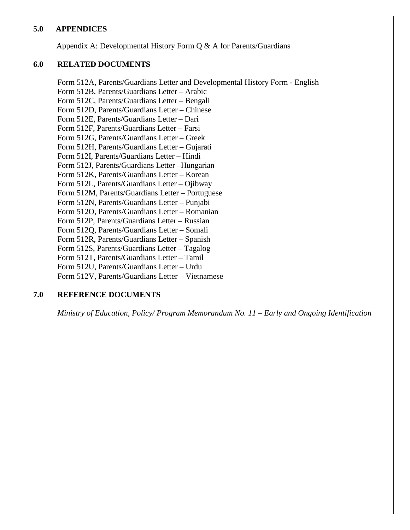## **5.0 APPENDICES**

Appendix A: Developmental History Form Q & A for Parents/Guardians

# **6.0 RELATED DOCUMENTS**

Form 512A, Parents/Guardians Letter and Developmental History Form - English Form 512B, Parents/Guardians Letter – Arabic Form 512C, Parents/Guardians Letter – Bengali Form 512D, Parents/Guardians Letter – Chinese Form 512E, Parents/Guardians Letter – Dari Form 512F, Parents/Guardians Letter – Farsi Form 512G, Parents/Guardians Letter – Greek Form 512H, Parents/Guardians Letter – Gujarati Form 512I, Parents/Guardians Letter – Hindi Form 512J, Parents/Guardians Letter –Hungarian Form 512K, Parents/Guardians Letter – Korean Form 512L, Parents/Guardians Letter – Ojibway Form 512M, Parents/Guardians Letter – Portuguese Form 512N, Parents/Guardians Letter – Punjabi Form 512O, Parents/Guardians Letter – Romanian Form 512P, Parents/Guardians Letter – Russian Form 512Q, Parents/Guardians Letter – Somali Form 512R, Parents/Guardians Letter – Spanish Form 512S, Parents/Guardians Letter – Tagalog Form 512T, Parents/Guardians Letter – Tamil Form 512U, Parents/Guardians Letter – Urdu Form 512V, Parents/Guardians Letter – Vietnamese

# **7.0 REFERENCE DOCUMENTS**

*Ministry of Education, Policy/ Program Memorandum No. 11 – Early and Ongoing Identification*